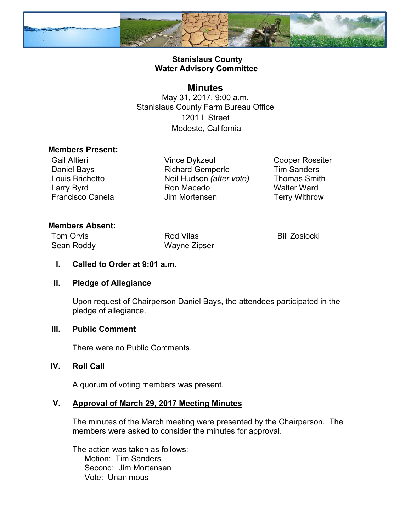

## **Stanislaus County Water Advisory Committee**

# **Minutes**

May 31, 2017, 9:00 a.m. Stanislaus County Farm Bureau Office 1201 L Street Modesto, California

#### **Members Present:**

Gail Altieri Daniel Bays Louis Brichetto Larry Byrd Francisco Canela

Vince Dykzeul Richard Gemperle Neil Hudson *(after vote)*  Ron Macedo Jim Mortensen

Cooper Rossiter Tim Sanders Thomas Smith Walter Ward Terry Withrow

# **Members Absent:**

| <b>Tom Orvis</b> | <b>Rod Vilas</b> | <b>Bill Zoslocki</b> |
|------------------|------------------|----------------------|
| Sean Roddy       | Wayne Zipser     |                      |

#### **I. Called to Order at 9:01 a.m**.

#### **II. Pledge of Allegiance**

Upon request of Chairperson Daniel Bays, the attendees participated in the pledge of allegiance.

#### **III. Public Comment**

There were no Public Comments.

#### **IV. Roll Call**

A quorum of voting members was present.

#### **V. Approval of March 29, 2017 Meeting Minutes**

The minutes of the March meeting were presented by the Chairperson. The members were asked to consider the minutes for approval.

The action was taken as follows: Motion: Tim Sanders Second: Jim Mortensen Vote: Unanimous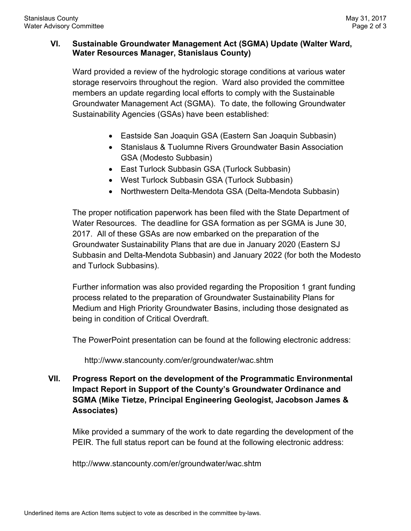## **VI. Sustainable Groundwater Management Act (SGMA) Update (Walter Ward, Water Resources Manager, Stanislaus County)**

Ward provided a review of the hydrologic storage conditions at various water storage reservoirs throughout the region. Ward also provided the committee members an update regarding local efforts to comply with the Sustainable Groundwater Management Act (SGMA). To date, the following Groundwater Sustainability Agencies (GSAs) have been established:

- Eastside San Joaquin GSA (Eastern San Joaquin Subbasin)
- Stanislaus & Tuolumne Rivers Groundwater Basin Association GSA (Modesto Subbasin)
- East Turlock Subbasin GSA (Turlock Subbasin)
- West Turlock Subbasin GSA (Turlock Subbasin)
- Northwestern Delta-Mendota GSA (Delta-Mendota Subbasin)

The proper notification paperwork has been filed with the State Department of Water Resources. The deadline for GSA formation as per SGMA is June 30, 2017. All of these GSAs are now embarked on the preparation of the Groundwater Sustainability Plans that are due in January 2020 (Eastern SJ Subbasin and Delta-Mendota Subbasin) and January 2022 (for both the Modesto and Turlock Subbasins).

Further information was also provided regarding the Proposition 1 grant funding process related to the preparation of Groundwater Sustainability Plans for Medium and High Priority Groundwater Basins, including those designated as being in condition of Critical Overdraft.

The PowerPoint presentation can be found at the following electronic address:

http://www.stancounty.com/er/groundwater/wac.shtm

**VII. Progress Report on the development of the Programmatic Environmental Impact Report in Support of the County's Groundwater Ordinance and SGMA (Mike Tietze, Principal Engineering Geologist, Jacobson James & Associates)**

Mike provided a summary of the work to date regarding the development of the PEIR. The full status report can be found at the following electronic address:

http://www.stancounty.com/er/groundwater/wac.shtm